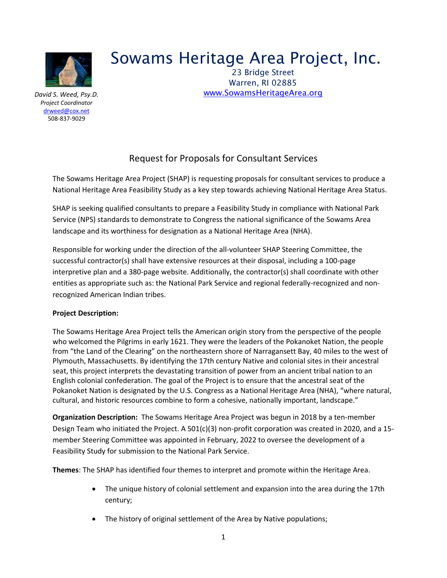

*David S. Weed, Psy.D. Project Coordinator* [drweed@cox.net](mailto:drweed@cox.net) 508-837-9029

# Sowams Heritage Area Project, Inc.

 23 Bridge Street Warren, RI 02885 [www.SowamsHeritageArea.org](http://www.sowamsheritagearea.org/)

# Request for Proposals for Consultant Services

The Sowams Heritage Area Project (SHAP) is requesting proposals for consultant services to produce a National Heritage Area Feasibility Study as a key step towards achieving National Heritage Area Status.

SHAP is seeking qualified consultants to prepare a Feasibility Study in compliance with National Park Service (NPS) standards to demonstrate to Congress the national significance of the Sowams Area landscape and its worthiness for designation as a National Heritage Area (NHA).

Responsible for working under the direction of the all-volunteer SHAP Steering Committee, the successful contractor(s) shall have extensive resources at their disposal, including a 100-page interpretive plan and a 380-page website. Additionally, the contractor(s) shall coordinate with other entities as appropriate such as: the National Park Service and regional federally-recognized and nonrecognized American Indian tribes.

# **Project Description:**

The Sowams Heritage Area Project tells the American origin story from the perspective of the people who welcomed the Pilgrims in early 1621. They were the leaders of the Pokanoket Nation, the people from "the Land of the Clearing" on the northeastern shore of Narragansett Bay, 40 miles to the west of Plymouth, Massachusetts. By identifying the 17th century Native and colonial sites in their ancestral seat, this project interprets the devastating transition of power from an ancient tribal nation to an English colonial confederation. The goal of the Project is to ensure that the ancestral seat of the Pokanoket Nation is designated by the U.S. Congress as a National Heritage Area (NHA), "where natural, cultural, and historic resources combine to form a cohesive, nationally important, landscape."

**Organization Description:** The Sowams Heritage Area Project was begun in 2018 by a ten-member Design Team who initiated the Project. A 501(c)(3) non-profit corporation was created in 2020, and a 15 member Steering Committee was appointed in February, 2022 to oversee the development of a Feasibility Study for submission to the National Park Service.

**Themes**: The SHAP has identified four themes to interpret and promote within the Heritage Area.

- The unique history of colonial settlement and expansion into the area during the 17th century;
- The history of original settlement of the Area by Native populations;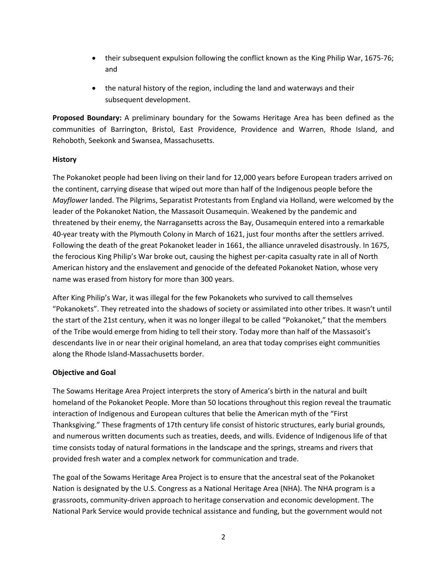- their subsequent expulsion following the conflict known as the King Philip War, 1675-76; and
- the natural history of the region, including the land and waterways and their subsequent development.

**Proposed Boundary:** A preliminary boundary for the Sowams Heritage Area has been defined as the communities of Barrington, Bristol, East Providence, Providence and Warren, Rhode Island, and Rehoboth, Seekonk and Swansea, Massachusetts.

# **History**

The Pokanoket people had been living on their land for 12,000 years before European traders arrived on the continent, carrying disease that wiped out more than half of the Indigenous people before the *Mayflower* landed. The Pilgrims, Separatist Protestants from England via Holland, were welcomed by the leader of the Pokanoket Nation, the Massasoit Ousamequin. Weakened by the pandemic and threatened by their enemy, the Narragansetts across the Bay, Ousamequin entered into a remarkable 40-year treaty with the Plymouth Colony in March of 1621, just four months after the settlers arrived. Following the death of the great Pokanoket leader in 1661, the alliance unraveled disastrously. In 1675, the ferocious King Philip's War broke out, causing the highest per-capita casualty rate in all of North American history and the enslavement and genocide of the defeated Pokanoket Nation, whose very name was erased from history for more than 300 years.

After King Philip's War, it was illegal for the few Pokanokets who survived to call themselves "Pokanokets". They retreated into the shadows of society or assimilated into other tribes. It wasn't until the start of the 21st century, when it was no longer illegal to be called "Pokanoket," that the members of the Tribe would emerge from hiding to tell their story. Today more than half of the Massasoit's descendants live in or near their original homeland, an area that today comprises eight communities along the Rhode Island-Massachusetts border.

# **Objective and Goal**

The Sowams Heritage Area Project interprets the story of America's birth in the natural and built homeland of the Pokanoket People. More than 50 locations throughout this region reveal the traumatic interaction of Indigenous and European cultures that belie the American myth of the "First Thanksgiving." These fragments of 17th century life consist of historic structures, early burial grounds, and numerous written documents such as treaties, deeds, and wills. Evidence of Indigenous life of that time consists today of natural formations in the landscape and the springs, streams and rivers that provided fresh water and a complex network for communication and trade.

The goal of the Sowams Heritage Area Project is to ensure that the ancestral seat of the Pokanoket Nation is designated by the U.S. Congress as a National Heritage Area (NHA). The NHA program is a grassroots, community-driven approach to heritage conservation and economic development. The National Park Service would provide technical assistance and funding, but the government would not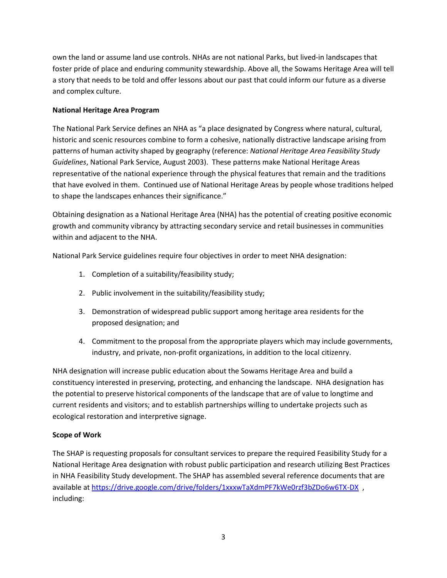own the land or assume land use controls. NHAs are not national Parks, but lived-in landscapes that foster pride of place and enduring community stewardship. Above all, the Sowams Heritage Area will tell a story that needs to be told and offer lessons about our past that could inform our future as a diverse and complex culture.

# **National Heritage Area Program**

The National Park Service defines an NHA as "a place designated by Congress where natural, cultural, historic and scenic resources combine to form a cohesive, nationally distractive landscape arising from patterns of human activity shaped by geography (reference: *National Heritage Area Feasibility Study Guidelines*, National Park Service, August 2003). These patterns make National Heritage Areas representative of the national experience through the physical features that remain and the traditions that have evolved in them. Continued use of National Heritage Areas by people whose traditions helped to shape the landscapes enhances their significance."

Obtaining designation as a National Heritage Area (NHA) has the potential of creating positive economic growth and community vibrancy by attracting secondary service and retail businesses in communities within and adjacent to the NHA.

National Park Service guidelines require four objectives in order to meet NHA designation:

- 1. Completion of a suitability/feasibility study;
- 2. Public involvement in the suitability/feasibility study;
- 3. Demonstration of widespread public support among heritage area residents for the proposed designation; and
- 4. Commitment to the proposal from the appropriate players which may include governments, industry, and private, non-profit organizations, in addition to the local citizenry.

NHA designation will increase public education about the Sowams Heritage Area and build a constituency interested in preserving, protecting, and enhancing the landscape. NHA designation has the potential to preserve historical components of the landscape that are of value to longtime and current residents and visitors; and to establish partnerships willing to undertake projects such as ecological restoration and interpretive signage.

# **Scope of Work**

The SHAP is requesting proposals for consultant services to prepare the required Feasibility Study for a National Heritage Area designation with robust public participation and research utilizing Best Practices in NHA Feasibility Study development. The SHAP has assembled several reference documents that are available at <https://drive.google.com/drive/folders/1xxxwTaXdmPF7kWe0rzf3bZDo6w6TX-DX> , including: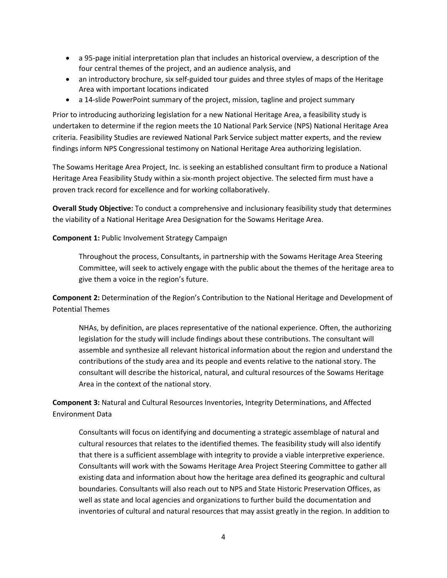- a 95-page initial interpretation plan that includes an historical overview, a description of the four central themes of the project, and an audience analysis, and
- an introductory brochure, six self-guided tour guides and three styles of maps of the Heritage Area with important locations indicated
- a 14-slide PowerPoint summary of the project, mission, tagline and project summary

Prior to introducing authorizing legislation for a new National Heritage Area, a feasibility study is undertaken to determine if the region meets the 10 National Park Service (NPS) National Heritage Area criteria. Feasibility Studies are reviewed National Park Service subject matter experts, and the review findings inform NPS Congressional testimony on National Heritage Area authorizing legislation.

The Sowams Heritage Area Project, Inc. is seeking an established consultant firm to produce a National Heritage Area Feasibility Study within a six-month project objective. The selected firm must have a proven track record for excellence and for working collaboratively.

**Overall Study Objective:** To conduct a comprehensive and inclusionary feasibility study that determines the viability of a National Heritage Area Designation for the Sowams Heritage Area.

### **Component 1:** Public Involvement Strategy Campaign

Throughout the process, Consultants, in partnership with the Sowams Heritage Area Steering Committee, will seek to actively engage with the public about the themes of the heritage area to give them a voice in the region's future.

**Component 2:** Determination of the Region's Contribution to the National Heritage and Development of Potential Themes

NHAs, by definition, are places representative of the national experience. Often, the authorizing legislation for the study will include findings about these contributions. The consultant will assemble and synthesize all relevant historical information about the region and understand the contributions of the study area and its people and events relative to the national story. The consultant will describe the historical, natural, and cultural resources of the Sowams Heritage Area in the context of the national story.

**Component 3:** Natural and Cultural Resources Inventories, Integrity Determinations, and Affected Environment Data

Consultants will focus on identifying and documenting a strategic assemblage of natural and cultural resources that relates to the identified themes. The feasibility study will also identify that there is a sufficient assemblage with integrity to provide a viable interpretive experience. Consultants will work with the Sowams Heritage Area Project Steering Committee to gather all existing data and information about how the heritage area defined its geographic and cultural boundaries. Consultants will also reach out to NPS and State Historic Preservation Offices, as well as state and local agencies and organizations to further build the documentation and inventories of cultural and natural resources that may assist greatly in the region. In addition to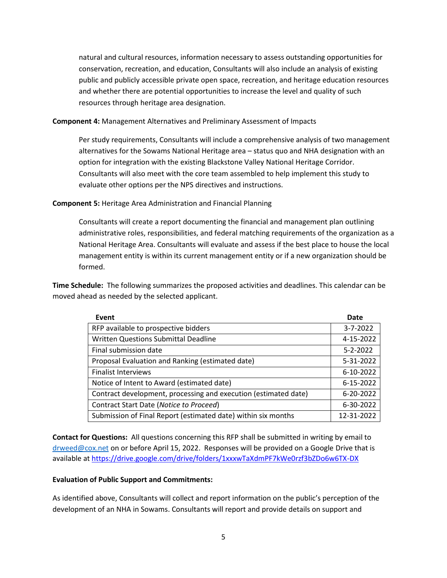natural and cultural resources, information necessary to assess outstanding opportunities for conservation, recreation, and education, Consultants will also include an analysis of existing public and publicly accessible private open space, recreation, and heritage education resources and whether there are potential opportunities to increase the level and quality of such resources through heritage area designation.

**Component 4:** Management Alternatives and Preliminary Assessment of Impacts

Per study requirements, Consultants will include a comprehensive analysis of two management alternatives for the Sowams National Heritage area – status quo and NHA designation with an option for integration with the existing Blackstone Valley National Heritage Corridor. Consultants will also meet with the core team assembled to help implement this study to evaluate other options per the NPS directives and instructions.

**Component 5:** Heritage Area Administration and Financial Planning

Consultants will create a report documenting the financial and management plan outlining administrative roles, responsibilities, and federal matching requirements of the organization as a National Heritage Area. Consultants will evaluate and assess if the best place to house the local management entity is within its current management entity or if a new organization should be formed.

**Time Schedule:** The following summarizes the proposed activities and deadlines. This calendar can be moved ahead as needed by the selected applicant.

| Event                                                           | Date           |
|-----------------------------------------------------------------|----------------|
| RFP available to prospective bidders                            | $3 - 7 - 2022$ |
| <b>Written Questions Submittal Deadline</b>                     | 4-15-2022      |
| Final submission date                                           | $5 - 2 - 2022$ |
| Proposal Evaluation and Ranking (estimated date)                | 5-31-2022      |
| <b>Finalist Interviews</b>                                      | 6-10-2022      |
| Notice of Intent to Award (estimated date)                      | 6-15-2022      |
| Contract development, processing and execution (estimated date) | 6-20-2022      |
| Contract Start Date (Notice to Proceed)                         | 6-30-2022      |
| Submission of Final Report (estimated date) within six months   | 12-31-2022     |

**Contact for Questions:** All questions concerning this RFP shall be submitted in writing by email to [drweed@cox.net](mailto:drweed@cox.net) on or before April 15, 2022. Responses will be provided on a Google Drive that is available a[t https://drive.google.com/drive/folders/1xxxwTaXdmPF7kWe0rzf3bZDo6w6TX-DX](https://drive.google.com/drive/folders/1xxxwTaXdmPF7kWe0rzf3bZDo6w6TX-DX)

# **Evaluation of Public Support and Commitments:**

As identified above, Consultants will collect and report information on the public's perception of the development of an NHA in Sowams. Consultants will report and provide details on support and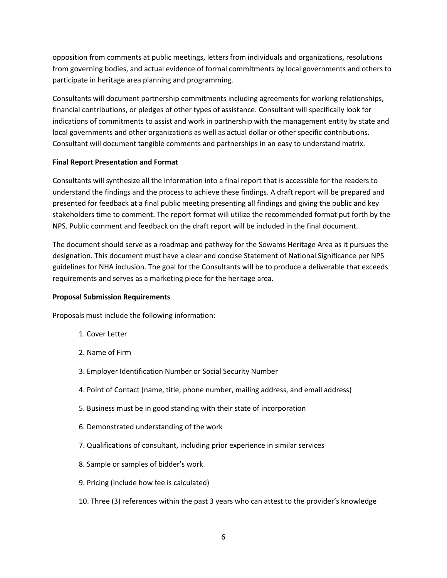opposition from comments at public meetings, letters from individuals and organizations, resolutions from governing bodies, and actual evidence of formal commitments by local governments and others to participate in heritage area planning and programming.

Consultants will document partnership commitments including agreements for working relationships, financial contributions, or pledges of other types of assistance. Consultant will specifically look for indications of commitments to assist and work in partnership with the management entity by state and local governments and other organizations as well as actual dollar or other specific contributions. Consultant will document tangible comments and partnerships in an easy to understand matrix.

#### **Final Report Presentation and Format**

Consultants will synthesize all the information into a final report that is accessible for the readers to understand the findings and the process to achieve these findings. A draft report will be prepared and presented for feedback at a final public meeting presenting all findings and giving the public and key stakeholders time to comment. The report format will utilize the recommended format put forth by the NPS. Public comment and feedback on the draft report will be included in the final document.

The document should serve as a roadmap and pathway for the Sowams Heritage Area as it pursues the designation. This document must have a clear and concise Statement of National Significance per NPS guidelines for NHA inclusion. The goal for the Consultants will be to produce a deliverable that exceeds requirements and serves as a marketing piece for the heritage area.

#### **Proposal Submission Requirements**

Proposals must include the following information:

- 1. Cover Letter
- 2. Name of Firm
- 3. Employer Identification Number or Social Security Number
- 4. Point of Contact (name, title, phone number, mailing address, and email address)
- 5. Business must be in good standing with their state of incorporation
- 6. Demonstrated understanding of the work
- 7. Qualifications of consultant, including prior experience in similar services
- 8. Sample or samples of bidder's work
- 9. Pricing (include how fee is calculated)
- 10. Three (3) references within the past 3 years who can attest to the provider's knowledge